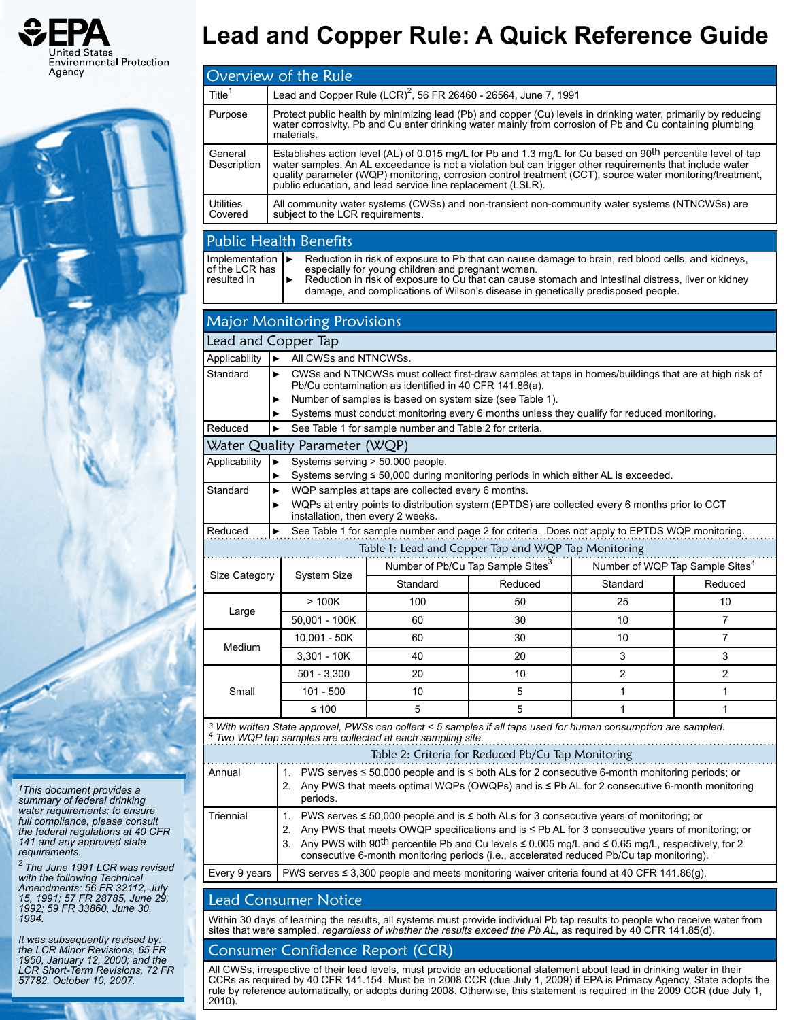



*1This document provides a summary of federal drinking water requirements; to ensure full compliance, please consult the federal regulations at 40 CFR 141 and any approved state requirements.*

*2 The June 1991 LCR was revised with the following Technical Amendments: 56 FR 32112, July 15, 1991; 57 FR 28785, June 29, 1992; 59 FR 33860, June 30, 1994.*

*It was subsequently revised by: the LCR Minor Revisions, 65 FR 1950, January 12, 2000; and the LCR Short-Term Revisions, 72 FR 57782, October 10, 2007.*

# **Lead and Copper Rule: A Quick Reference Guide**

|                                                                                                            | Overview of the Rule                                                                                                                                                                                                                                                                                                                                                                                             |                                                                                                                                                                                                                                              |         |                |                                             |  |
|------------------------------------------------------------------------------------------------------------|------------------------------------------------------------------------------------------------------------------------------------------------------------------------------------------------------------------------------------------------------------------------------------------------------------------------------------------------------------------------------------------------------------------|----------------------------------------------------------------------------------------------------------------------------------------------------------------------------------------------------------------------------------------------|---------|----------------|---------------------------------------------|--|
| Title $1$                                                                                                  | Lead and Copper Rule (LCR) <sup>2</sup> , 56 FR 26460 - 26564, June 7, 1991                                                                                                                                                                                                                                                                                                                                      |                                                                                                                                                                                                                                              |         |                |                                             |  |
| Purpose                                                                                                    | Protect public health by minimizing lead (Pb) and copper (Cu) levels in drinking water, primarily by reducing<br>water corrosivity. Pb and Cu enter drinking water mainly from corrosion of Pb and Cu containing plumbing<br>materials.                                                                                                                                                                          |                                                                                                                                                                                                                                              |         |                |                                             |  |
| General<br>Description                                                                                     | Establishes action level (AL) of 0.015 mg/L for Pb and 1.3 mg/L for Cu based on 90 <sup>th</sup> percentile level of tap<br>water samples. An AL exceedance is not a violation but can trigger other requirements that include water<br>quality parameter (WQP) monitoring, corrosion control treatment (CCT), source water monitoring/treatment,<br>public education, and lead service line replacement (LSLR). |                                                                                                                                                                                                                                              |         |                |                                             |  |
| <b>Utilities</b><br>Covered                                                                                | All community water systems (CWSs) and non-transient non-community water systems (NTNCWSs) are<br>subject to the LCR requirements.                                                                                                                                                                                                                                                                               |                                                                                                                                                                                                                                              |         |                |                                             |  |
|                                                                                                            | <b>Public Health Benefits</b>                                                                                                                                                                                                                                                                                                                                                                                    |                                                                                                                                                                                                                                              |         |                |                                             |  |
| Implementation<br>of the LCR has<br>resulted in                                                            | Reduction in risk of exposure to Pb that can cause damage to brain, red blood cells, and kidneys,<br>$\blacktriangleright$<br>especially for young children and pregnant women.<br>Reduction in risk of exposure to Cu that can cause stomach and intestinal distress, liver or kidney<br>▶<br>damage, and complications of Wilson's disease in genetically predisposed people.                                  |                                                                                                                                                                                                                                              |         |                |                                             |  |
|                                                                                                            | <b>Major Monitoring Provisions</b>                                                                                                                                                                                                                                                                                                                                                                               |                                                                                                                                                                                                                                              |         |                |                                             |  |
| Lead and Copper Tap                                                                                        |                                                                                                                                                                                                                                                                                                                                                                                                                  |                                                                                                                                                                                                                                              |         |                |                                             |  |
| Applicability                                                                                              | All CWSs and NTNCWSs.<br>ь                                                                                                                                                                                                                                                                                                                                                                                       |                                                                                                                                                                                                                                              |         |                |                                             |  |
| Standard                                                                                                   | CWSs and NTNCWSs must collect first-draw samples at taps in homes/buildings that are at high risk of<br>▶<br>Pb/Cu contamination as identified in 40 CFR 141.86(a).                                                                                                                                                                                                                                              |                                                                                                                                                                                                                                              |         |                |                                             |  |
|                                                                                                            | Number of samples is based on system size (see Table 1).<br>▶                                                                                                                                                                                                                                                                                                                                                    |                                                                                                                                                                                                                                              |         |                |                                             |  |
| Reduced                                                                                                    | Systems must conduct monitoring every 6 months unless they qualify for reduced monitoring.<br>▶<br>See Table 1 for sample number and Table 2 for criteria.                                                                                                                                                                                                                                                       |                                                                                                                                                                                                                                              |         |                |                                             |  |
|                                                                                                            | Water Quality Parameter (WQP)                                                                                                                                                                                                                                                                                                                                                                                    |                                                                                                                                                                                                                                              |         |                |                                             |  |
| Applicability                                                                                              | ▶                                                                                                                                                                                                                                                                                                                                                                                                                | Systems serving > 50,000 people.                                                                                                                                                                                                             |         |                |                                             |  |
|                                                                                                            | ▶                                                                                                                                                                                                                                                                                                                                                                                                                | Systems serving ≤ 50,000 during monitoring periods in which either AL is exceeded.                                                                                                                                                           |         |                |                                             |  |
| Standard                                                                                                   | WQP samples at taps are collected every 6 months.<br>▶<br>WQPs at entry points to distribution system (EPTDS) are collected every 6 months prior to CCT<br>installation, then every 2 weeks.                                                                                                                                                                                                                     |                                                                                                                                                                                                                                              |         |                |                                             |  |
| Reduced                                                                                                    | ►                                                                                                                                                                                                                                                                                                                                                                                                                | See Table 1 for sample number and page 2 for criteria. Does not apply to EPTDS WQP monitoring.<br>Table 1: Lead and Copper Tap and WQP Tap Monitoring                                                                                        |         |                |                                             |  |
| Size Category                                                                                              | System Size                                                                                                                                                                                                                                                                                                                                                                                                      | Number of Pb/Cu Tap Sample Sites <sup>3</sup>                                                                                                                                                                                                |         |                | Number of WQP Tap Sample Sites <sup>4</sup> |  |
|                                                                                                            |                                                                                                                                                                                                                                                                                                                                                                                                                  | Standard                                                                                                                                                                                                                                     | Reduced | Standard       | Reduced                                     |  |
| Large                                                                                                      | >100K                                                                                                                                                                                                                                                                                                                                                                                                            | 100                                                                                                                                                                                                                                          | 50      | 25             | 10                                          |  |
|                                                                                                            | 50,001 - 100K                                                                                                                                                                                                                                                                                                                                                                                                    | 60                                                                                                                                                                                                                                           | 30      | 10             | 7                                           |  |
| Medium                                                                                                     | 10,001 - 50K                                                                                                                                                                                                                                                                                                                                                                                                     | 60                                                                                                                                                                                                                                           | 30      | 10             | 7                                           |  |
|                                                                                                            | $3,301 - 10K$                                                                                                                                                                                                                                                                                                                                                                                                    | 40                                                                                                                                                                                                                                           | 20      | 3              | 3                                           |  |
| Small                                                                                                      | $501 - 3,300$                                                                                                                                                                                                                                                                                                                                                                                                    | 20                                                                                                                                                                                                                                           | 10      | $\overline{c}$ | 2                                           |  |
|                                                                                                            | 101 - 500                                                                                                                                                                                                                                                                                                                                                                                                        | 10                                                                                                                                                                                                                                           | 5       | 1              | 1                                           |  |
|                                                                                                            | $≤ 100$                                                                                                                                                                                                                                                                                                                                                                                                          | 5                                                                                                                                                                                                                                            | 5       | 1              | 1                                           |  |
|                                                                                                            |                                                                                                                                                                                                                                                                                                                                                                                                                  | <sup>3</sup> With written State approval, PWSs can collect < 5 samples if all taps used for human consumption are sampled.<br>Two WQP tap samples are collected at each sampling site.<br>Table 2: Criteria for Reduced Pb/Cu Tap Monitoring |         |                |                                             |  |
| 1. PWS serves ≤ 50,000 people and is ≤ both ALs for 2 consecutive 6-month monitoring periods; or<br>Annual |                                                                                                                                                                                                                                                                                                                                                                                                                  |                                                                                                                                                                                                                                              |         |                |                                             |  |
|                                                                                                            | 2. Any PWS that meets optimal WQPs (OWQPs) and is ≤ Pb AL for 2 consecutive 6-month monitoring<br>periods.                                                                                                                                                                                                                                                                                                       |                                                                                                                                                                                                                                              |         |                |                                             |  |
| Triennial                                                                                                  | 1. PWS serves ≤ 50,000 people and is ≤ both ALs for 3 consecutive years of monitoring; or                                                                                                                                                                                                                                                                                                                        |                                                                                                                                                                                                                                              |         |                |                                             |  |
|                                                                                                            | Any PWS that meets OWQP specifications and is ≤ Pb AL for 3 consecutive years of monitoring; or<br>2.<br>3. Any PWS with 90 <sup>th</sup> percentile Pb and Cu levels $\leq$ 0.005 mg/L and $\leq$ 0.65 mg/L, respectively, for 2<br>consecutive 6-month monitoring periods (i.e., accelerated reduced Pb/Cu tap monitoring).                                                                                    |                                                                                                                                                                                                                                              |         |                |                                             |  |
| Every 9 years                                                                                              | PWS serves $\leq$ 3,300 people and meets monitoring waiver criteria found at 40 CFR 141.86(g).                                                                                                                                                                                                                                                                                                                   |                                                                                                                                                                                                                                              |         |                |                                             |  |
|                                                                                                            |                                                                                                                                                                                                                                                                                                                                                                                                                  |                                                                                                                                                                                                                                              |         |                |                                             |  |

### Lead Consumer Notice

Within 30 days of learning the results, all systems must provide individual Pb tap results to people who receive water from sites that were sampled, *regardless of whether the results exceed the Pb AL*, as required by 40 CFR 141.85(d).

## Consumer Confidence Report (CCR)

All CWSs, irrespective of their lead levels, must provide an educational statement about lead in drinking water in their<br>CCRs as required by 40 CFR 141.154. Must be in 2008 CCR (due July 1, 2009) if EPA is Primacy Agency, rule by reference automatically, or adopts during 2008. Otherwise, this statement is required in the 2009 CCR (due July 1, 2010).